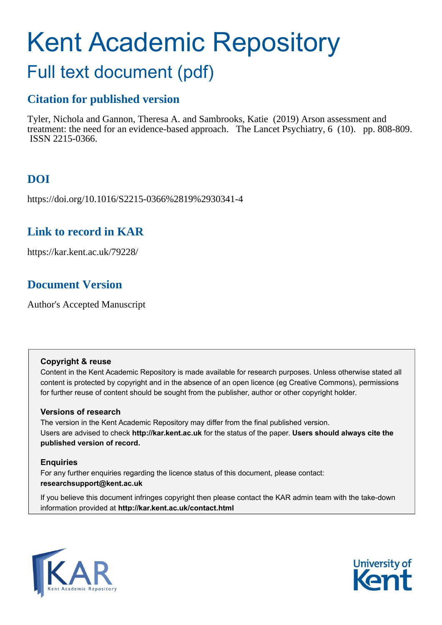# Kent Academic Repository

## Full text document (pdf)

## **Citation for published version**

Tyler, Nichola and Gannon, Theresa A. and Sambrooks, Katie (2019) Arson assessment and treatment: the need for an evidence-based approach. The Lancet Psychiatry, 6 (10). pp. 808-809. ISSN 2215-0366.

## **DOI**

https://doi.org/10.1016/S2215-0366%2819%2930341-4

## **Link to record in KAR**

https://kar.kent.ac.uk/79228/

## **Document Version**

Author's Accepted Manuscript

#### **Copyright & reuse**

Content in the Kent Academic Repository is made available for research purposes. Unless otherwise stated all content is protected by copyright and in the absence of an open licence (eg Creative Commons), permissions for further reuse of content should be sought from the publisher, author or other copyright holder.

#### **Versions of research**

The version in the Kent Academic Repository may differ from the final published version. Users are advised to check **http://kar.kent.ac.uk** for the status of the paper. **Users should always cite the published version of record.**

#### **Enquiries**

For any further enquiries regarding the licence status of this document, please contact: **researchsupport@kent.ac.uk**

If you believe this document infringes copyright then please contact the KAR admin team with the take-down information provided at **http://kar.kent.ac.uk/contact.html**



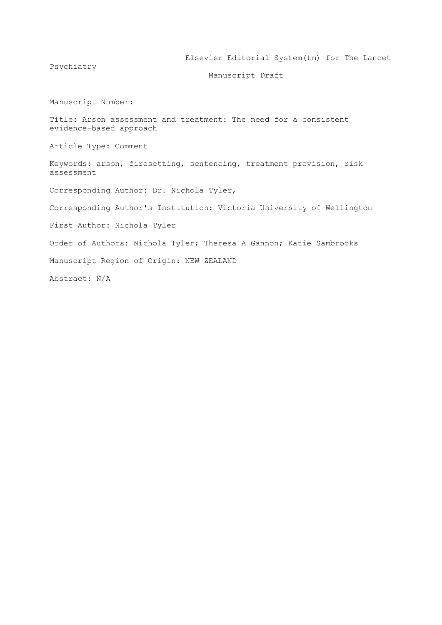Elsevier Editorial System(tm) for The Lancet

Psychiatry

Manuscript Draft

Manuscript Number:

Title: Arson assessment and treatment: The need for a consistent evidence-based approach

Article Type: Comment

Keywords: arson, firesetting, sentencing, treatment provision, risk assessment

Corresponding Author: Dr. Nichola Tyler,

Corresponding Author's Institution: Victoria University of Wellington

First Author: Nichola Tyler

Order of Authors: Nichola Tyler; Theresa A Gannon; Katie Sambrooks

Manuscript Region of Origin: NEW ZEALAND

Abstract: N/A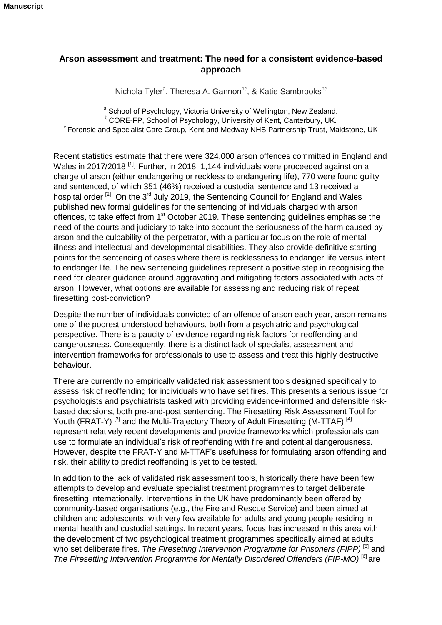#### **Arson assessment and treatment: The need for a consistent evidence-based approach**

Nichola Tyler<sup>a</sup>, Theresa A. Gannon<sup>bc</sup>, & Katie Sambrooks<sup>bc</sup>

a School of Psychology, Victoria University of Wellington, New Zealand. <sup>b</sup> CORE-FP, School of Psychology, University of Kent, Canterbury, UK.  $\textdegree$  Forensic and Specialist Care Group, Kent and Medway NHS Partnership Trust, Maidstone, UK

Recent statistics estimate that there were 324,000 arson offences committed in England and Wales in 2017/2018<sup>[1]</sup>. Further, in 2018, 1,144 individuals were proceeded against on a charge of arson (either endangering or reckless to endangering life), 770 were found guilty and sentenced, of which 351 (46%) received a custodial sentence and 13 received a hospital order <sup>[2]</sup>. On the 3<sup>rd</sup> July 2019, the Sentencing Council for England and Wales published new formal guidelines for the sentencing of individuals charged with arson offences, to take effect from 1<sup>st</sup> October 2019. These sentencing guidelines emphasise the need of the courts and judiciary to take into account the seriousness of the harm caused by arson and the culpability of the perpetrator, with a particular focus on the role of mental illness and intellectual and developmental disabilities. They also provide definitive starting points for the sentencing of cases where there is recklessness to endanger life versus intent to endanger life. The new sentencing guidelines represent a positive step in recognising the need for clearer guidance around aggravating and mitigating factors associated with acts of arson. However, what options are available for assessing and reducing risk of repeat firesetting post-conviction?

Despite the number of individuals convicted of an offence of arson each year, arson remains one of the poorest understood behaviours, both from a psychiatric and psychological perspective. There is a paucity of evidence regarding risk factors for reoffending and dangerousness. Consequently, there is a distinct lack of specialist assessment and intervention frameworks for professionals to use to assess and treat this highly destructive behaviour.

There are currently no empirically validated risk assessment tools designed specifically to assess risk of reoffending for individuals who have set fires. This presents a serious issue for psychologists and psychiatrists tasked with providing evidence-informed and defensible riskbased decisions, both pre-and-post sentencing. The Firesetting Risk Assessment Tool for Youth (FRAT-Y)<sup>[3]</sup> and the Multi-Trajectory Theory of Adult Firesetting (M-TTAF)<sup>[4]</sup> represent relatively recent developments and provide frameworks which professionals can use to formulate an individual's risk of reoffending with fire and potential dangerousness. However, despite the FRAT-Y and M-TTAF's usefulness for formulating arson offending and risk, their ability to predict reoffending is yet to be tested.

In addition to the lack of validated risk assessment tools, historically there have been few attempts to develop and evaluate specialist treatment programmes to target deliberate firesetting internationally. Interventions in the UK have predominantly been offered by community-based organisations (e.g., the Fire and Rescue Service) and been aimed at children and adolescents, with very few available for adults and young people residing in mental health and custodial settings. In recent years, focus has increased in this area with the development of two psychological treatment programmes specifically aimed at adults who set deliberate fires. The Firesetting Intervention Programme for Prisoners (FIPP)<sup>[5]</sup> and *The Firesetting Intervention Programme for Mentally Disordered Offenders (FIP-MO)* [6] are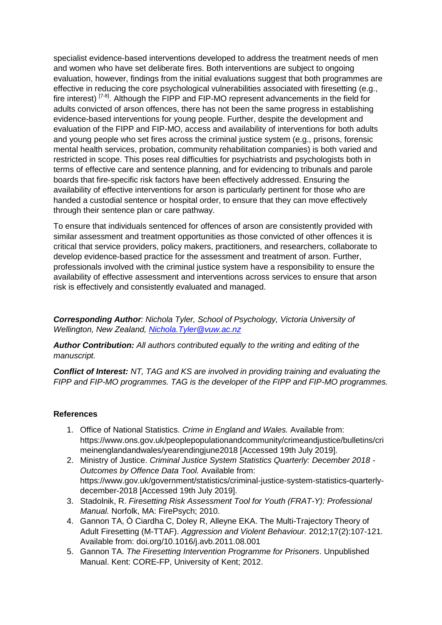specialist evidence-based interventions developed to address the treatment needs of men and women who have set deliberate fires. Both interventions are subject to ongoing evaluation, however, findings from the initial evaluations suggest that both programmes are effective in reducing the core psychological vulnerabilities associated with firesetting (e.g., fire interest)<sup>[7-8]</sup>. Although the FIPP and FIP-MO represent advancements in the field for adults convicted of arson offences, there has not been the same progress in establishing evidence-based interventions for young people. Further, despite the development and evaluation of the FIPP and FIP-MO, access and availability of interventions for both adults and young people who set fires across the criminal justice system (e.g., prisons, forensic mental health services, probation, community rehabilitation companies) is both varied and restricted in scope. This poses real difficulties for psychiatrists and psychologists both in terms of effective care and sentence planning, and for evidencing to tribunals and parole boards that fire-specific risk factors have been effectively addressed. Ensuring the availability of effective interventions for arson is particularly pertinent for those who are handed a custodial sentence or hospital order, to ensure that they can move effectively through their sentence plan or care pathway.

To ensure that individuals sentenced for offences of arson are consistently provided with similar assessment and treatment opportunities as those convicted of other offences it is critical that service providers, policy makers, practitioners, and researchers, collaborate to develop evidence-based practice for the assessment and treatment of arson. Further, professionals involved with the criminal justice system have a responsibility to ensure the availability of effective assessment and interventions across services to ensure that arson risk is effectively and consistently evaluated and managed.

*Corresponding Author: Nichola Tyler, School of Psychology, Victoria University of Wellington, New Zealand, [Nichola.Tyler@vuw.ac.nz](mailto:Nichola.Tyler@vuw.ac.nz)*

*Author Contribution: All authors contributed equally to the writing and editing of the manuscript.*

*Conflict of Interest: NT, TAG and KS are involved in providing training and evaluating the FIPP and FIP-MO programmes. TAG is the developer of the FIPP and FIP-MO programmes.* 

#### **References**

- 1. Office of National Statistics. *Crime in England and Wales.* Available from: https://www.ons.gov.uk/peoplepopulationandcommunity/crimeandjustice/bulletins/cri meinenglandandwales/yearendingjune2018 [Accessed 19th July 2019].
- 2. Ministry of Justice. *Criminal Justice System Statistics Quarterly: December 2018 - Outcomes by Offence Data Tool.* Available from: https://www.gov.uk/government/statistics/criminal-justice-system-statistics-quarterlydecember-2018 [Accessed 19th July 2019].
- 3. Stadolnik, R. *Firesetting Risk Assessment Tool for Youth (FRAT-Y): Professional Manual.* Norfolk, MA: FirePsych; 2010.
- 4. Gannon TA, Ó Ciardha C, Doley R, Alleyne EKA. The Multi-Trajectory Theory of Adult Firesetting (M-TTAF). *Aggression and Violent Behaviour.* 2012;17(2):107-121. Available from: doi.org/10.1016/j.avb.2011.08.001
- 5. Gannon TA. *The Firesetting Intervention Programme for Prisoners*. Unpublished Manual. Kent: CORE-FP, University of Kent; 2012.